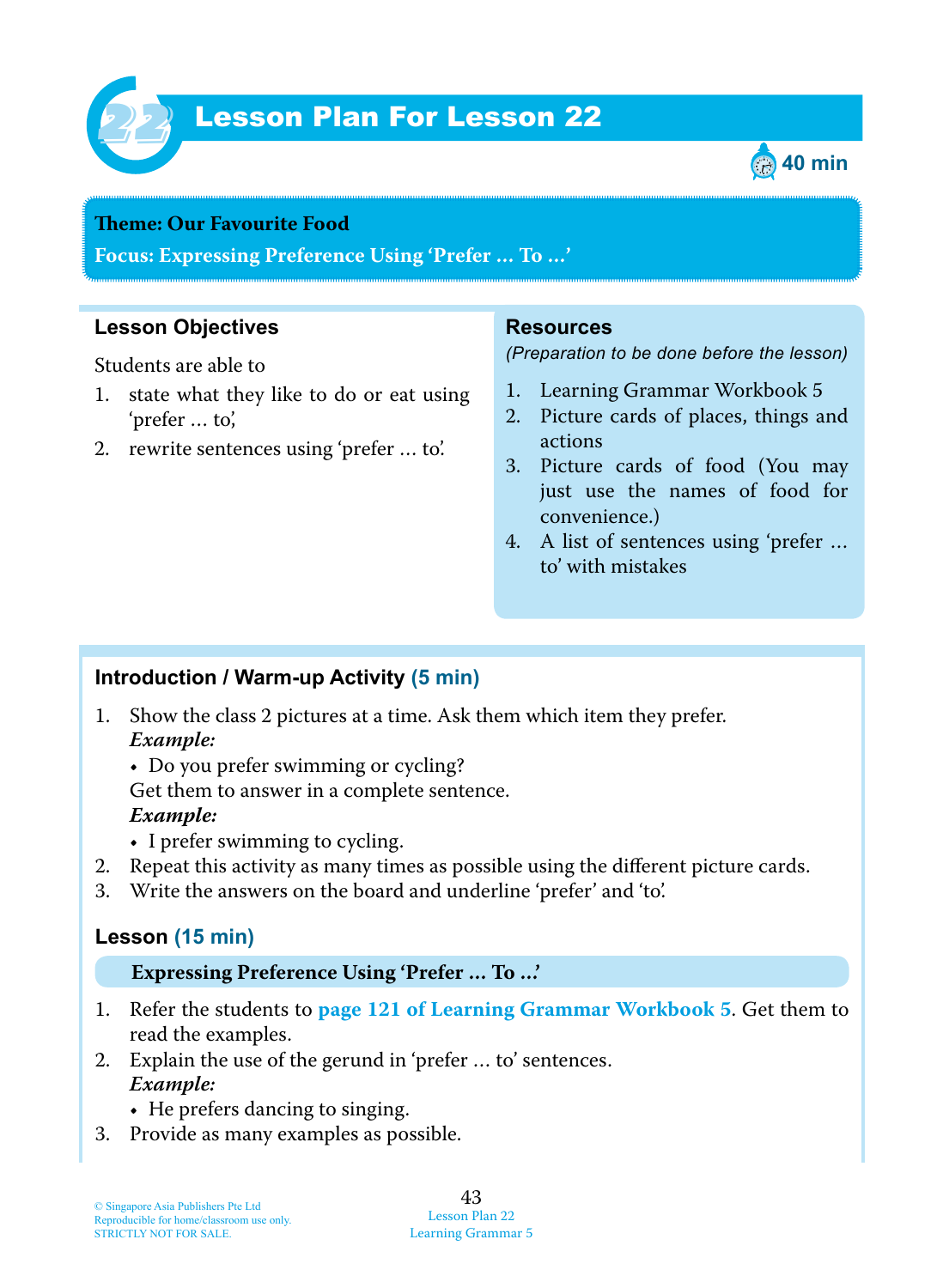

# Lesson Plan For Lesson 22 *22*



### **Teme : Our Favourite Food**

**Focus: Expressing Preference Using 'Prefer … To …'**

## **Lesson Objectives**

Students are able to

- 1. state what they like to do or eat using 'prefer … to',
- 2. rewrite sentences using 'prefer … to'.

### **Resources**

*(Preparation to be done before the lesson)*

- 1. Learning Grammar Workbook 5
- 2. Picture cards of places, things and actions
- 3. Picture cards of food (You may just use the names of food for convenience.)
- 4. A list of sentences using 'prefer … to' with mistakes

## **Introduction / Warm-up Activity (5 min)**

- 1. Show the class 2 pictures at a time. Ask them which item they prefer.  *Example:*
	- Do you prefer swimming or cycling?

Get them to answer in a complete sentence.

#### *Example:*

- I prefer swimming to cycling.
- 2. Repeat this activity as many times as possible using the different picture cards.
- 3. Write the answers on the board and underline 'prefer' and 'to'.

## **Lesson (15 min)**

#### **Expressing Preference Using 'Prefer … To …'**

- 1 . Refer the students to **page 121 of Learning Grammar Workbook 5** . Get them to read the examples.
- 2. Explain the use of the gerund in 'prefer … to' sentences.  *Example:*
	- He prefers dancing to singing.
- 3. Provide as many examples as possible.